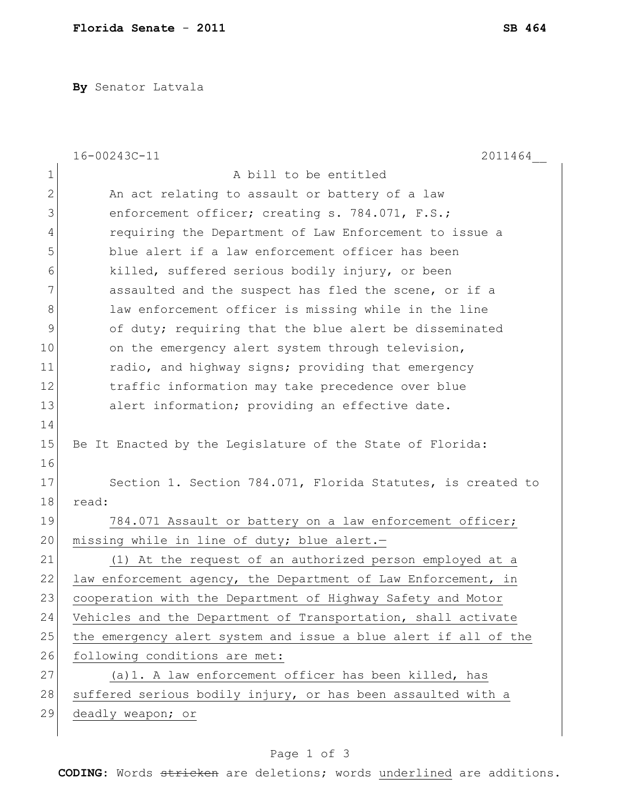**By** Senator Latvala

|    | 16-00243C-11<br>2011464                                         |  |  |  |
|----|-----------------------------------------------------------------|--|--|--|
| 1  | A bill to be entitled                                           |  |  |  |
| 2  | An act relating to assault or battery of a law                  |  |  |  |
| 3  | enforcement officer; creating s. 784.071, F.S.;                 |  |  |  |
| 4  | requiring the Department of Law Enforcement to issue a          |  |  |  |
| 5  | blue alert if a law enforcement officer has been                |  |  |  |
| 6  | killed, suffered serious bodily injury, or been                 |  |  |  |
| 7  | assaulted and the suspect has fled the scene, or if a           |  |  |  |
| 8  | law enforcement officer is missing while in the line            |  |  |  |
| 9  | of duty; requiring that the blue alert be disseminated          |  |  |  |
| 10 | on the emergency alert system through television,               |  |  |  |
| 11 | radio, and highway signs; providing that emergency              |  |  |  |
| 12 | traffic information may take precedence over blue               |  |  |  |
| 13 | alert information; providing an effective date.                 |  |  |  |
| 14 |                                                                 |  |  |  |
| 15 | Be It Enacted by the Legislature of the State of Florida:       |  |  |  |
| 16 |                                                                 |  |  |  |
| 17 | Section 1. Section 784.071, Florida Statutes, is created to     |  |  |  |
| 18 | read:                                                           |  |  |  |
| 19 | 784.071 Assault or battery on a law enforcement officer;        |  |  |  |
| 20 | missing while in line of duty; blue alert.-                     |  |  |  |
| 21 | (1) At the request of an authorized person employed at a        |  |  |  |
| 22 | law enforcement agency, the Department of Law Enforcement, in   |  |  |  |
| 23 | cooperation with the Department of Highway Safety and Motor     |  |  |  |
| 24 | Vehicles and the Department of Transportation, shall activate   |  |  |  |
| 25 | the emergency alert system and issue a blue alert if all of the |  |  |  |
| 26 | following conditions are met:                                   |  |  |  |
| 27 | (a) 1. A law enforcement officer has been killed, has           |  |  |  |
| 28 | suffered serious bodily injury, or has been assaulted with a    |  |  |  |
| 29 | deadly weapon; or                                               |  |  |  |
|    |                                                                 |  |  |  |

## Page 1 of 3

**CODING**: Words stricken are deletions; words underlined are additions.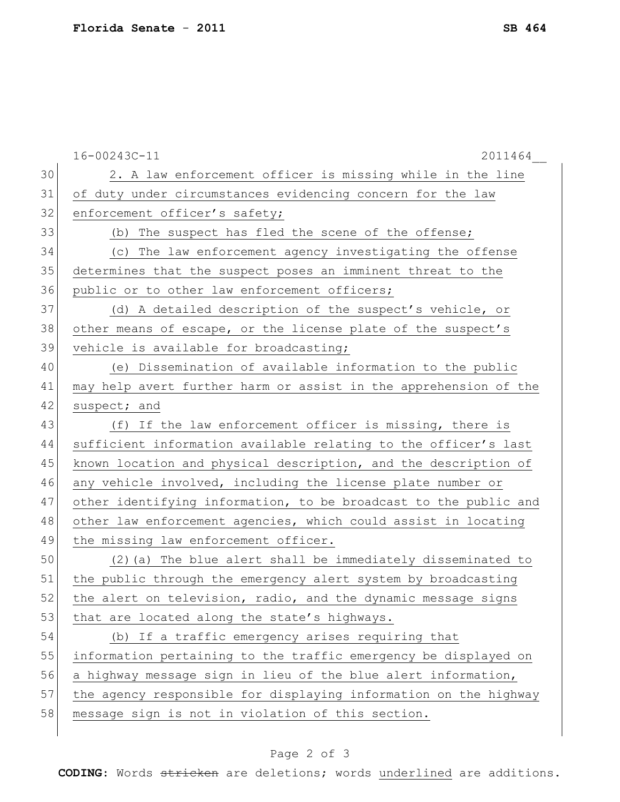|    | 16-00243C-11<br>2011464                                          |  |  |  |
|----|------------------------------------------------------------------|--|--|--|
| 30 | 2. A law enforcement officer is missing while in the line        |  |  |  |
| 31 | of duty under circumstances evidencing concern for the law       |  |  |  |
| 32 | enforcement officer's safety;                                    |  |  |  |
| 33 | (b) The suspect has fled the scene of the offense;               |  |  |  |
| 34 | The law enforcement agency investigating the offense<br>(C)      |  |  |  |
| 35 | determines that the suspect poses an imminent threat to the      |  |  |  |
| 36 | public or to other law enforcement officers;                     |  |  |  |
| 37 | (d) A detailed description of the suspect's vehicle, or          |  |  |  |
| 38 | other means of escape, or the license plate of the suspect's     |  |  |  |
| 39 | vehicle is available for broadcasting;                           |  |  |  |
| 40 | (e) Dissemination of available information to the public         |  |  |  |
| 41 | may help avert further harm or assist in the apprehension of the |  |  |  |
| 42 | suspect; and                                                     |  |  |  |
| 43 | (f) If the law enforcement officer is missing, there is          |  |  |  |
| 44 | sufficient information available relating to the officer's last  |  |  |  |
| 45 | known location and physical description, and the description of  |  |  |  |
| 46 | any vehicle involved, including the license plate number or      |  |  |  |
| 47 | other identifying information, to be broadcast to the public and |  |  |  |
| 48 | other law enforcement agencies, which could assist in locating   |  |  |  |
| 49 | the missing law enforcement officer.                             |  |  |  |
| 50 | (2) (a) The blue alert shall be immediately disseminated to      |  |  |  |
| 51 | the public through the emergency alert system by broadcasting    |  |  |  |
| 52 | the alert on television, radio, and the dynamic message signs    |  |  |  |
| 53 | that are located along the state's highways.                     |  |  |  |
| 54 | (b) If a traffic emergency arises requiring that                 |  |  |  |
| 55 | information pertaining to the traffic emergency be displayed on  |  |  |  |
| 56 | a highway message sign in lieu of the blue alert information,    |  |  |  |
| 57 | the agency responsible for displaying information on the highway |  |  |  |
| 58 | message sign is not in violation of this section.                |  |  |  |
|    |                                                                  |  |  |  |

## Page 2 of 3

**CODING**: Words stricken are deletions; words underlined are additions.